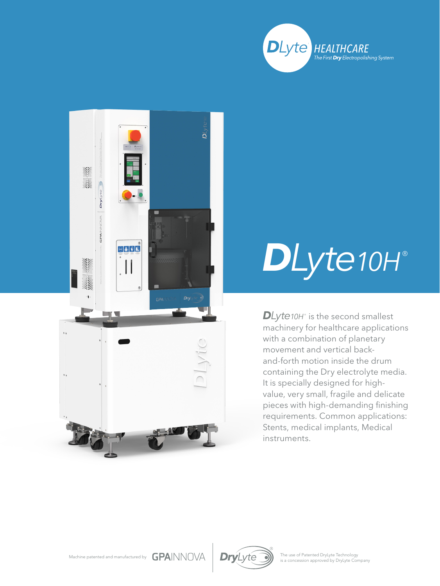



## *DLyte10H* ®

*DLyte10H* is the second smallest machinery for healthcare applications with a combination of planetary movement and vertical backand-forth motion inside the drum containing the Dry electrolyte media. It is specially designed for highvalue, very small, fragile and delicate pieces with high-demanding finishing requirements. Common applications: Stents, medical implants, Medical instruments.





The use of Patented DryLyte Technology<br>is a concession approved by DryLyte Company